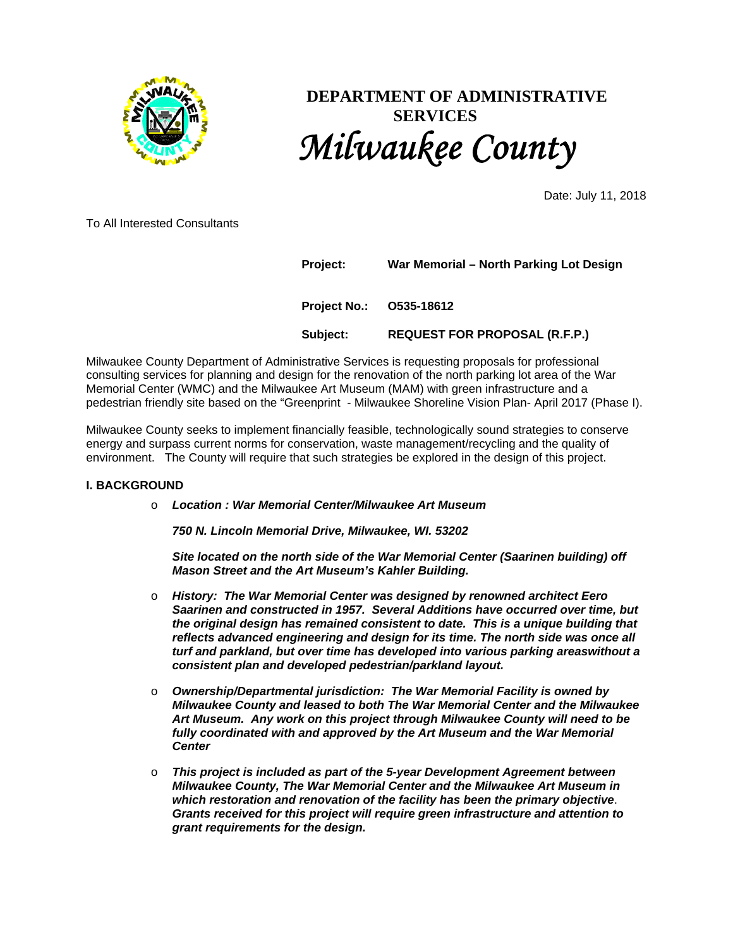

# **DEPARTMENT OF ADMINISTRATIVE SERVICES** *Milwaukee County*

Date: July 11, 2018

To All Interested Consultants

| Project: | War Memorial - North Parking Lot Design |  |
|----------|-----------------------------------------|--|
|          | Project No.: 0535-18612                 |  |
| Subject: | <b>REQUEST FOR PROPOSAL (R.F.P.)</b>    |  |

Milwaukee County Department of Administrative Services is requesting proposals for professional consulting services for planning and design for the renovation of the north parking lot area of the War Memorial Center (WMC) and the Milwaukee Art Museum (MAM) with green infrastructure and a pedestrian friendly site based on the "Greenprint - Milwaukee Shoreline Vision Plan- April 2017 (Phase I).

Milwaukee County seeks to implement financially feasible, technologically sound strategies to conserve energy and surpass current norms for conservation, waste management/recycling and the quality of environment. The County will require that such strategies be explored in the design of this project.

#### **I. BACKGROUND**

#### o *Location : War Memorial Center/Milwaukee Art Museum*

*750 N. Lincoln Memorial Drive, Milwaukee, WI. 53202* 

*Site located on the north side of the War Memorial Center (Saarinen building) off Mason Street and the Art Museum's Kahler Building.* 

- o *History: The War Memorial Center was designed by renowned architect Eero Saarinen and constructed in 1957. Several Additions have occurred over time, but the original design has remained consistent to date. This is a unique building that reflects advanced engineering and design for its time. The north side was once all turf and parkland, but over time has developed into various parking areaswithout a consistent plan and developed pedestrian/parkland layout.*
- o *Ownership/Departmental jurisdiction: The War Memorial Facility is owned by Milwaukee County and leased to both The War Memorial Center and the Milwaukee Art Museum. Any work on this project through Milwaukee County will need to be fully coordinated with and approved by the Art Museum and the War Memorial Center*
- o *This project is included as part of the 5-year Development Agreement between Milwaukee County, The War Memorial Center and the Milwaukee Art Museum in which restoration and renovation of the facility has been the primary objective*. *Grants received for this project will require green infrastructure and attention to grant requirements for the design.*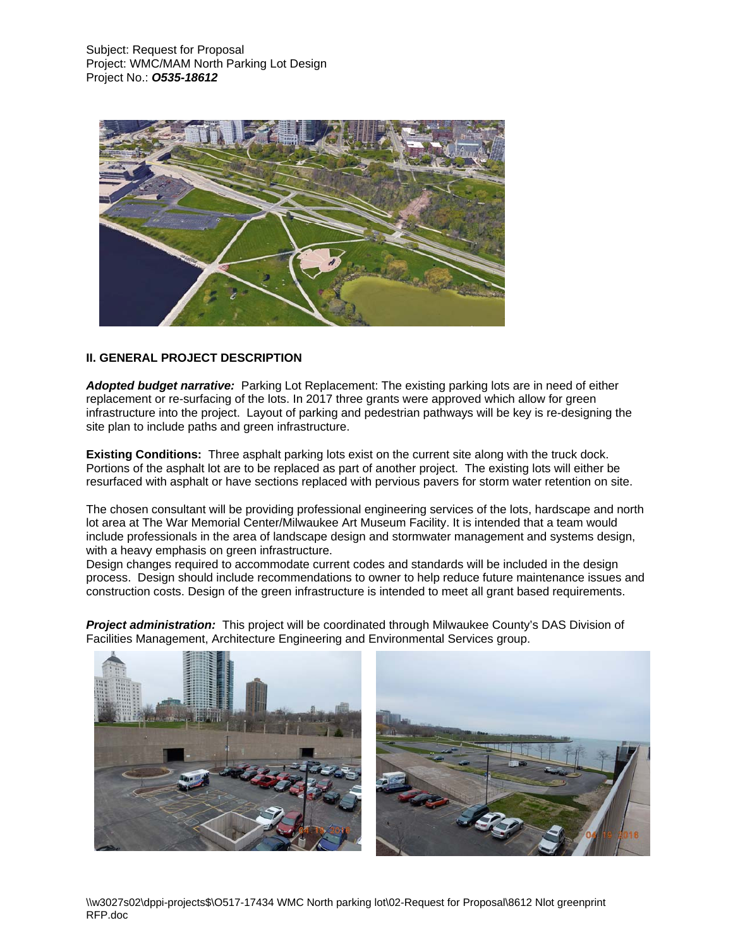

# **II. GENERAL PROJECT DESCRIPTION**

*Adopted budget narrative:* Parking Lot Replacement: The existing parking lots are in need of either replacement or re-surfacing of the lots. In 2017 three grants were approved which allow for green infrastructure into the project. Layout of parking and pedestrian pathways will be key is re-designing the site plan to include paths and green infrastructure.

**Existing Conditions:** Three asphalt parking lots exist on the current site along with the truck dock. Portions of the asphalt lot are to be replaced as part of another project. The existing lots will either be resurfaced with asphalt or have sections replaced with pervious pavers for storm water retention on site.

The chosen consultant will be providing professional engineering services of the lots, hardscape and north lot area at The War Memorial Center/Milwaukee Art Museum Facility. It is intended that a team would include professionals in the area of landscape design and stormwater management and systems design, with a heavy emphasis on green infrastructure.

Design changes required to accommodate current codes and standards will be included in the design process. Design should include recommendations to owner to help reduce future maintenance issues and construction costs. Design of the green infrastructure is intended to meet all grant based requirements.

*Project administration:* This project will be coordinated through Milwaukee County's DAS Division of Facilities Management, Architecture Engineering and Environmental Services group.

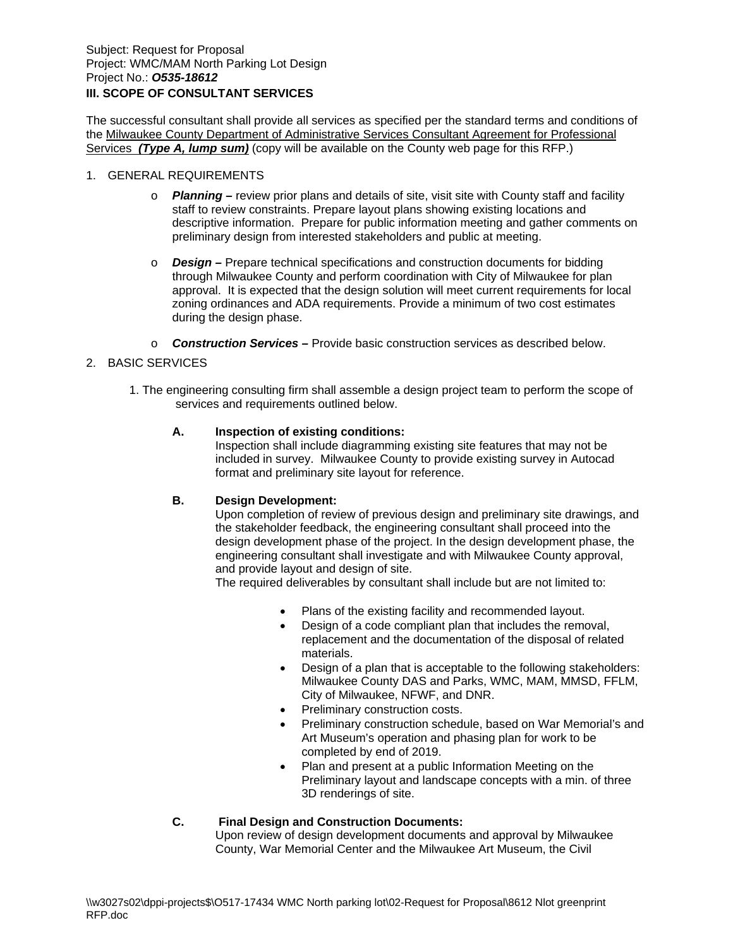# **III. SCOPE OF CONSULTANT SERVICES**

The successful consultant shall provide all services as specified per the standard terms and conditions of the Milwaukee County Department of Administrative Services Consultant Agreement for Professional Services *(Type A, lump sum)* (copy will be available on the County web page for this RFP.)

#### 1. GENERAL REQUIREMENTS

- o *Planning* review prior plans and details of site, visit site with County staff and facility staff to review constraints. Prepare layout plans showing existing locations and descriptive information. Prepare for public information meeting and gather comments on preliminary design from interested stakeholders and public at meeting.
- o *Design* Prepare technical specifications and construction documents for bidding through Milwaukee County and perform coordination with City of Milwaukee for plan approval. It is expected that the design solution will meet current requirements for local zoning ordinances and ADA requirements. Provide a minimum of two cost estimates during the design phase.
- o *Construction Services* Provide basic construction services as described below.

## 2. BASIC SERVICES

1. The engineering consulting firm shall assemble a design project team to perform the scope of services and requirements outlined below.

#### **A. Inspection of existing conditions:**

Inspection shall include diagramming existing site features that may not be included in survey. Milwaukee County to provide existing survey in Autocad format and preliminary site layout for reference.

## **B. Design Development:**

Upon completion of review of previous design and preliminary site drawings, and the stakeholder feedback, the engineering consultant shall proceed into the design development phase of the project. In the design development phase, the engineering consultant shall investigate and with Milwaukee County approval, and provide layout and design of site.

The required deliverables by consultant shall include but are not limited to:

- Plans of the existing facility and recommended layout.
- Design of a code compliant plan that includes the removal, replacement and the documentation of the disposal of related materials.
- Design of a plan that is acceptable to the following stakeholders: Milwaukee County DAS and Parks, WMC, MAM, MMSD, FFLM, City of Milwaukee, NFWF, and DNR.
- Preliminary construction costs.
- Preliminary construction schedule, based on War Memorial's and Art Museum's operation and phasing plan for work to be completed by end of 2019.
- Plan and present at a public Information Meeting on the Preliminary layout and landscape concepts with a min. of three 3D renderings of site.

# **C. Final Design and Construction Documents:**

Upon review of design development documents and approval by Milwaukee County, War Memorial Center and the Milwaukee Art Museum, the Civil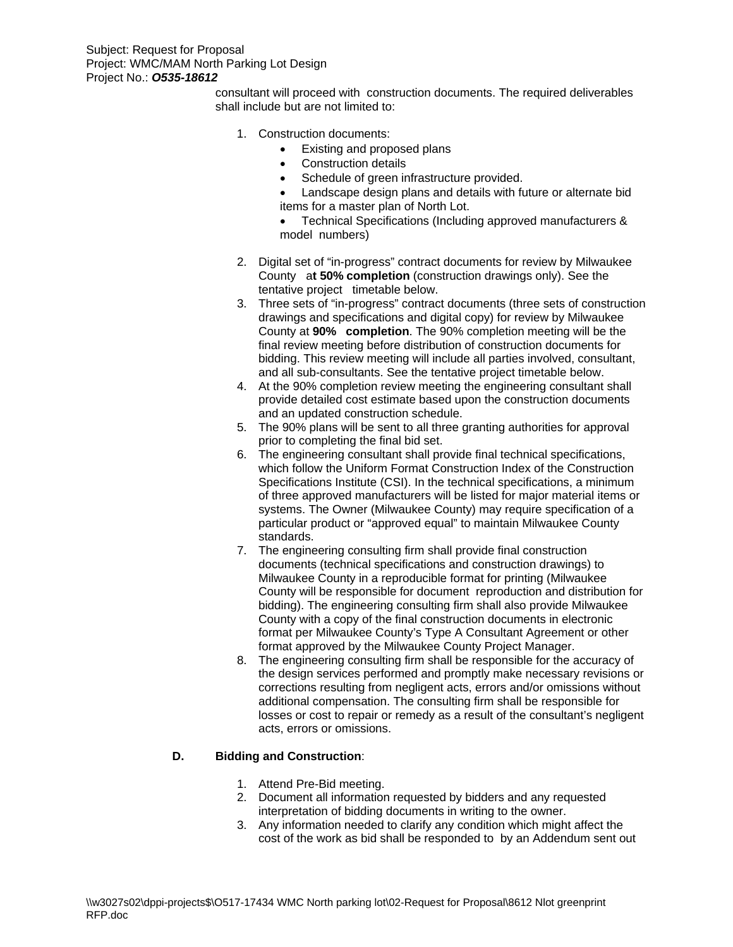consultant will proceed with construction documents. The required deliverables shall include but are not limited to:

- 1. Construction documents:
	- Existing and proposed plans
	- Construction details
	- Schedule of green infrastructure provided.
	- Landscape design plans and details with future or alternate bid items for a master plan of North Lot.
	- Technical Specifications (Including approved manufacturers & model numbers)
- 2. Digital set of "in-progress" contract documents for review by Milwaukee County a**t 50% completion** (construction drawings only). See the tentative project timetable below.
- 3. Three sets of "in-progress" contract documents (three sets of construction drawings and specifications and digital copy) for review by Milwaukee County at **90% completion**. The 90% completion meeting will be the final review meeting before distribution of construction documents for bidding. This review meeting will include all parties involved, consultant, and all sub-consultants. See the tentative project timetable below.
- 4. At the 90% completion review meeting the engineering consultant shall provide detailed cost estimate based upon the construction documents and an updated construction schedule.
- 5. The 90% plans will be sent to all three granting authorities for approval prior to completing the final bid set.
- 6. The engineering consultant shall provide final technical specifications, which follow the Uniform Format Construction Index of the Construction Specifications Institute (CSI). In the technical specifications, a minimum of three approved manufacturers will be listed for major material items or systems. The Owner (Milwaukee County) may require specification of a particular product or "approved equal" to maintain Milwaukee County standards.
- 7. The engineering consulting firm shall provide final construction documents (technical specifications and construction drawings) to Milwaukee County in a reproducible format for printing (Milwaukee County will be responsible for document reproduction and distribution for bidding). The engineering consulting firm shall also provide Milwaukee County with a copy of the final construction documents in electronic format per Milwaukee County's Type A Consultant Agreement or other format approved by the Milwaukee County Project Manager.
- 8. The engineering consulting firm shall be responsible for the accuracy of the design services performed and promptly make necessary revisions or corrections resulting from negligent acts, errors and/or omissions without additional compensation. The consulting firm shall be responsible for losses or cost to repair or remedy as a result of the consultant's negligent acts, errors or omissions.

# **D. Bidding and Construction**:

- 1. Attend Pre-Bid meeting.
- 2. Document all information requested by bidders and any requested interpretation of bidding documents in writing to the owner.
- 3. Any information needed to clarify any condition which might affect the cost of the work as bid shall be responded to by an Addendum sent out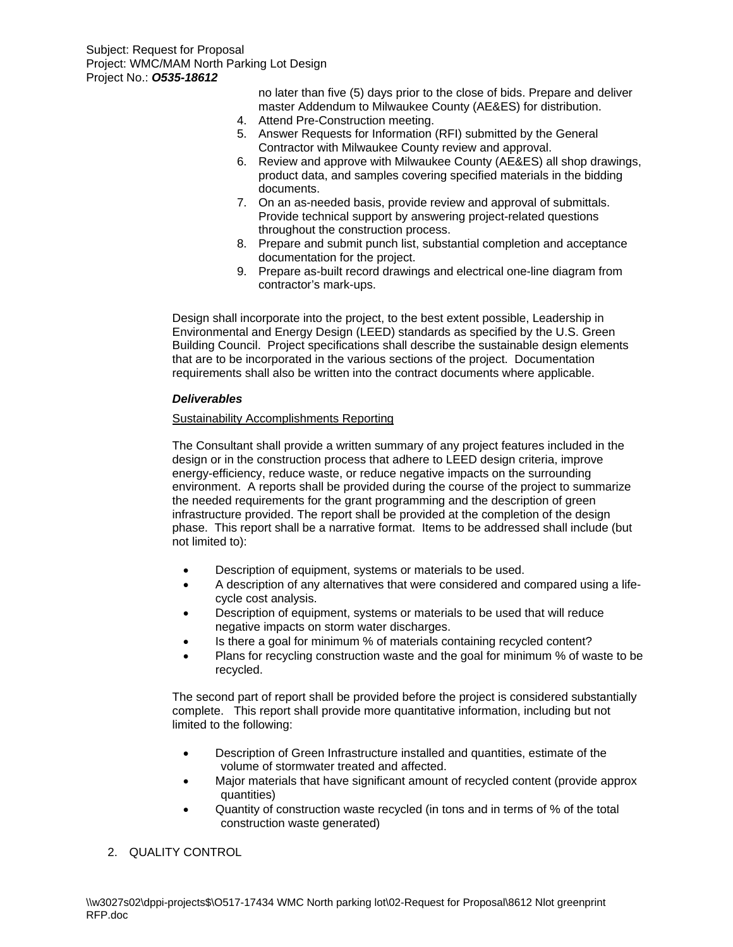no later than five (5) days prior to the close of bids. Prepare and deliver master Addendum to Milwaukee County (AE&ES) for distribution.

- 4. Attend Pre-Construction meeting.
- 5. Answer Requests for Information (RFI) submitted by the General Contractor with Milwaukee County review and approval.
- 6. Review and approve with Milwaukee County (AE&ES) all shop drawings, product data, and samples covering specified materials in the bidding documents.
- 7. On an as-needed basis, provide review and approval of submittals. Provide technical support by answering project-related questions throughout the construction process.
- 8. Prepare and submit punch list, substantial completion and acceptance documentation for the project.
- 9. Prepare as-built record drawings and electrical one-line diagram from contractor's mark-ups.

Design shall incorporate into the project, to the best extent possible, Leadership in Environmental and Energy Design (LEED) standards as specified by the U.S. Green Building Council. Project specifications shall describe the sustainable design elements that are to be incorporated in the various sections of the project. Documentation requirements shall also be written into the contract documents where applicable.

## *Deliverables*

## Sustainability Accomplishments Reporting

The Consultant shall provide a written summary of any project features included in the design or in the construction process that adhere to LEED design criteria, improve energy-efficiency, reduce waste, or reduce negative impacts on the surrounding environment. A reports shall be provided during the course of the project to summarize the needed requirements for the grant programming and the description of green infrastructure provided. The report shall be provided at the completion of the design phase. This report shall be a narrative format. Items to be addressed shall include (but not limited to):

- Description of equipment, systems or materials to be used.
- A description of any alternatives that were considered and compared using a lifecycle cost analysis.
- Description of equipment, systems or materials to be used that will reduce negative impacts on storm water discharges.
- Is there a goal for minimum % of materials containing recycled content?
- Plans for recycling construction waste and the goal for minimum % of waste to be recycled.

The second part of report shall be provided before the project is considered substantially complete. This report shall provide more quantitative information, including but not limited to the following:

- Description of Green Infrastructure installed and quantities, estimate of the volume of stormwater treated and affected.
- Major materials that have significant amount of recycled content (provide approx quantities)
- Quantity of construction waste recycled (in tons and in terms of % of the total construction waste generated)

# 2. QUALITY CONTROL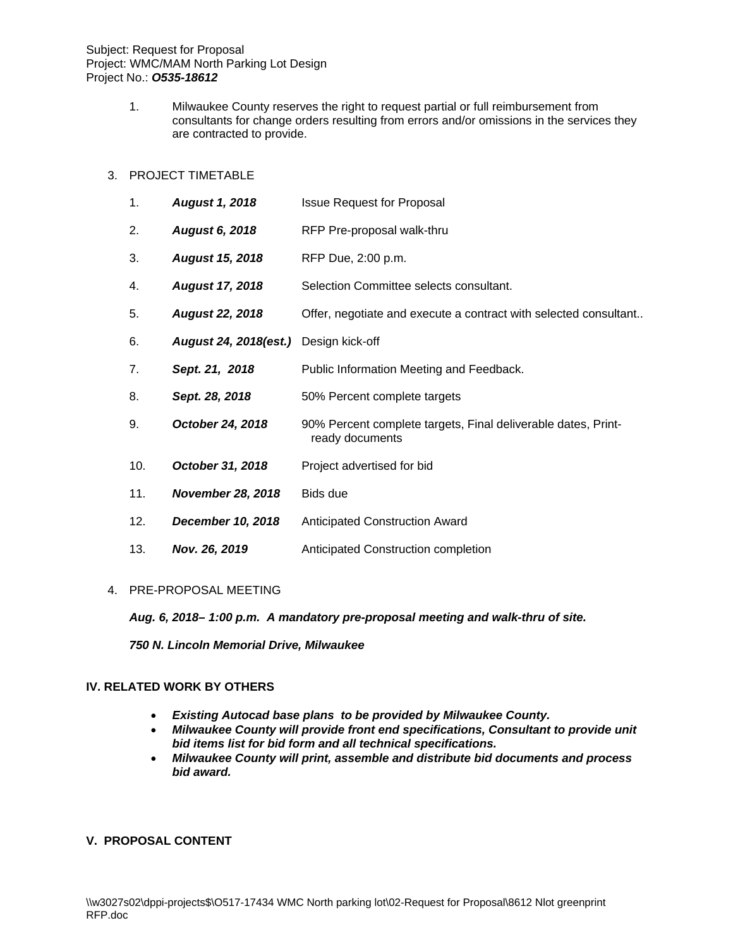1. Milwaukee County reserves the right to request partial or full reimbursement from consultants for change orders resulting from errors and/or omissions in the services they are contracted to provide.

## 3. PROJECT TIMETABLE

| 1.  | <b>August 1, 2018</b>                 | <b>Issue Request for Proposal</b>                                                |
|-----|---------------------------------------|----------------------------------------------------------------------------------|
| 2.  | <b>August 6, 2018</b>                 | RFP Pre-proposal walk-thru                                                       |
| 3.  | <b>August 15, 2018</b>                | RFP Due, 2:00 p.m.                                                               |
| 4.  | <b>August 17, 2018</b>                | Selection Committee selects consultant.                                          |
| 5.  | <b>August 22, 2018</b>                | Offer, negotiate and execute a contract with selected consultant                 |
| 6.  | August 24, 2018(est.) Design kick-off |                                                                                  |
| 7.  | Sept. 21, 2018                        | Public Information Meeting and Feedback.                                         |
| 8.  | Sept. 28, 2018                        | 50% Percent complete targets                                                     |
| 9.  | October 24, 2018                      | 90% Percent complete targets, Final deliverable dates, Print-<br>ready documents |
| 10. | October 31, 2018                      | Project advertised for bid                                                       |
| 11. | <b>November 28, 2018</b>              | Bids due                                                                         |
| 12. | December 10, 2018                     | <b>Anticipated Construction Award</b>                                            |
| 13. | Nov. 26, 2019                         | Anticipated Construction completion                                              |

#### 4. PRE-PROPOSAL MEETING

*Aug. 6, 2018– 1:00 p.m. A mandatory pre-proposal meeting and walk-thru of site.* 

*750 N. Lincoln Memorial Drive, Milwaukee* 

## **IV. RELATED WORK BY OTHERS**

- *Existing Autocad base plans to be provided by Milwaukee County.*
- *Milwaukee County will provide front end specifications, Consultant to provide unit bid items list for bid form and all technical specifications.*
- *Milwaukee County will print, assemble and distribute bid documents and process bid award.*

## **V. PROPOSAL CONTENT**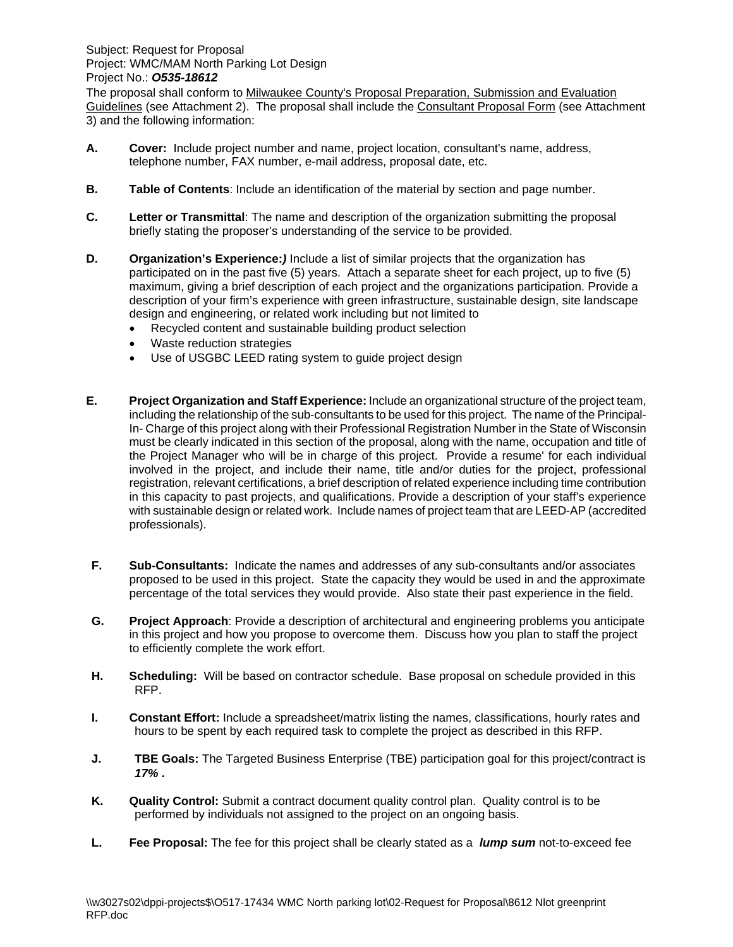The proposal shall conform to Milwaukee County's Proposal Preparation, Submission and Evaluation Guidelines (see Attachment 2). The proposal shall include the Consultant Proposal Form (see Attachment 3) and the following information:

- **A. Cover:** Include project number and name, project location, consultant's name, address, telephone number, FAX number, e-mail address, proposal date, etc.
- **B.** Table of Contents: Include an identification of the material by section and page number.
- **C. Letter or Transmittal**: The name and description of the organization submitting the proposal briefly stating the proposer's understanding of the service to be provided.
- **D. Organization's Experience:***)* Include a list of similar projects that the organization has participated on in the past five (5) years. Attach a separate sheet for each project, up to five (5) maximum, giving a brief description of each project and the organizations participation. Provide a description of your firm's experience with green infrastructure, sustainable design, site landscape design and engineering, or related work including but not limited to
	- Recycled content and sustainable building product selection
	- Waste reduction strategies
	- Use of USGBC LEED rating system to guide project design
- **E. Project Organization and Staff Experience:** Include an organizational structure of the project team, including the relationship of the sub-consultants to be used for this project. The name of the Principal-In- Charge of this project along with their Professional Registration Number in the State of Wisconsin must be clearly indicated in this section of the proposal, along with the name, occupation and title of the Project Manager who will be in charge of this project. Provide a resume' for each individual involved in the project, and include their name, title and/or duties for the project, professional registration, relevant certifications, a brief description of related experience including time contribution in this capacity to past projects, and qualifications. Provide a description of your staff's experience with sustainable design or related work. Include names of project team that are LEED-AP (accredited professionals).
- **F. Sub-Consultants:** Indicate the names and addresses of any sub-consultants and/or associates proposed to be used in this project. State the capacity they would be used in and the approximate percentage of the total services they would provide. Also state their past experience in the field.
- **G. Project Approach**: Provide a description of architectural and engineering problems you anticipate in this project and how you propose to overcome them. Discuss how you plan to staff the project to efficiently complete the work effort.
- **H. Scheduling:** Will be based on contractor schedule. Base proposal on schedule provided in this RFP.
- **I. Constant Effort:** Include a spreadsheet/matrix listing the names, classifications, hourly rates and hours to be spent by each required task to complete the project as described in this RFP.
- **J. TBE Goals:** The Targeted Business Enterprise (TBE) participation goal for this project/contract is *17% .*
- **K. Quality Control:** Submit a contract document quality control plan. Quality control is to be performed by individuals not assigned to the project on an ongoing basis.
- **L. Fee Proposal:** The fee for this project shall be clearly stated as a *lump sum* not-to-exceed fee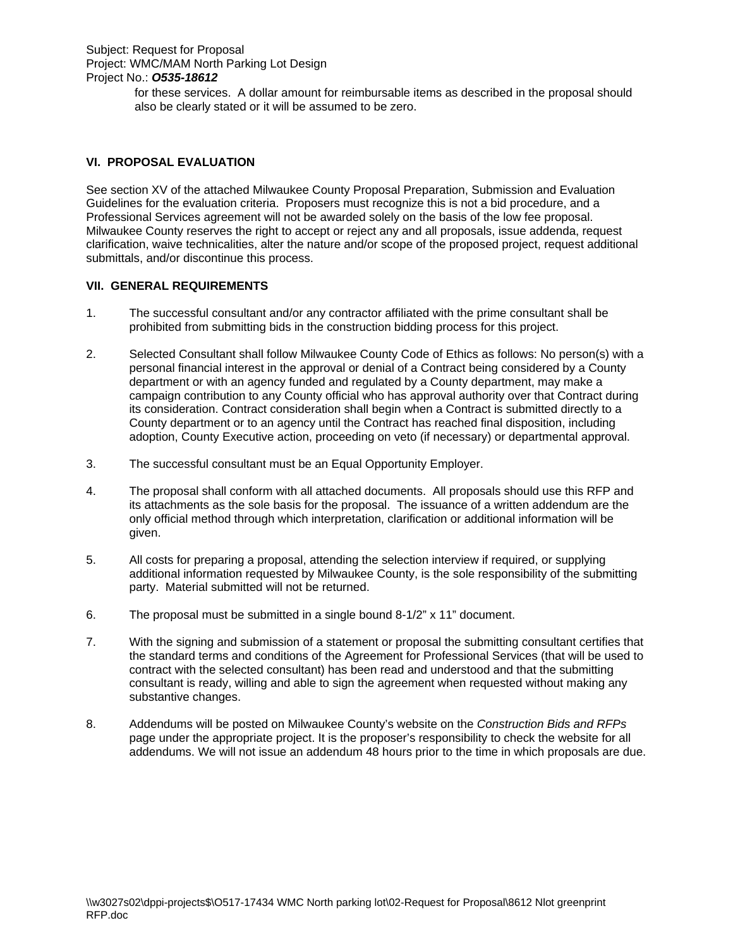for these services. A dollar amount for reimbursable items as described in the proposal should also be clearly stated or it will be assumed to be zero.

## **VI. PROPOSAL EVALUATION**

See section XV of the attached Milwaukee County Proposal Preparation, Submission and Evaluation Guidelines for the evaluation criteria. Proposers must recognize this is not a bid procedure, and a Professional Services agreement will not be awarded solely on the basis of the low fee proposal. Milwaukee County reserves the right to accept or reject any and all proposals, issue addenda, request clarification, waive technicalities, alter the nature and/or scope of the proposed project, request additional submittals, and/or discontinue this process.

## **VII. GENERAL REQUIREMENTS**

- 1. The successful consultant and/or any contractor affiliated with the prime consultant shall be prohibited from submitting bids in the construction bidding process for this project.
- 2. Selected Consultant shall follow Milwaukee County Code of Ethics as follows: No person(s) with a personal financial interest in the approval or denial of a Contract being considered by a County department or with an agency funded and regulated by a County department, may make a campaign contribution to any County official who has approval authority over that Contract during its consideration. Contract consideration shall begin when a Contract is submitted directly to a County department or to an agency until the Contract has reached final disposition, including adoption, County Executive action, proceeding on veto (if necessary) or departmental approval.
- 3. The successful consultant must be an Equal Opportunity Employer.
- 4. The proposal shall conform with all attached documents. All proposals should use this RFP and its attachments as the sole basis for the proposal. The issuance of a written addendum are the only official method through which interpretation, clarification or additional information will be given.
- 5. All costs for preparing a proposal, attending the selection interview if required, or supplying additional information requested by Milwaukee County, is the sole responsibility of the submitting party. Material submitted will not be returned.
- 6. The proposal must be submitted in a single bound 8-1/2" x 11" document.
- 7. With the signing and submission of a statement or proposal the submitting consultant certifies that the standard terms and conditions of the Agreement for Professional Services (that will be used to contract with the selected consultant) has been read and understood and that the submitting consultant is ready, willing and able to sign the agreement when requested without making any substantive changes.
- 8. Addendums will be posted on Milwaukee County's website on the *Construction Bids and RFPs* page under the appropriate project. It is the proposer's responsibility to check the website for all addendums. We will not issue an addendum 48 hours prior to the time in which proposals are due.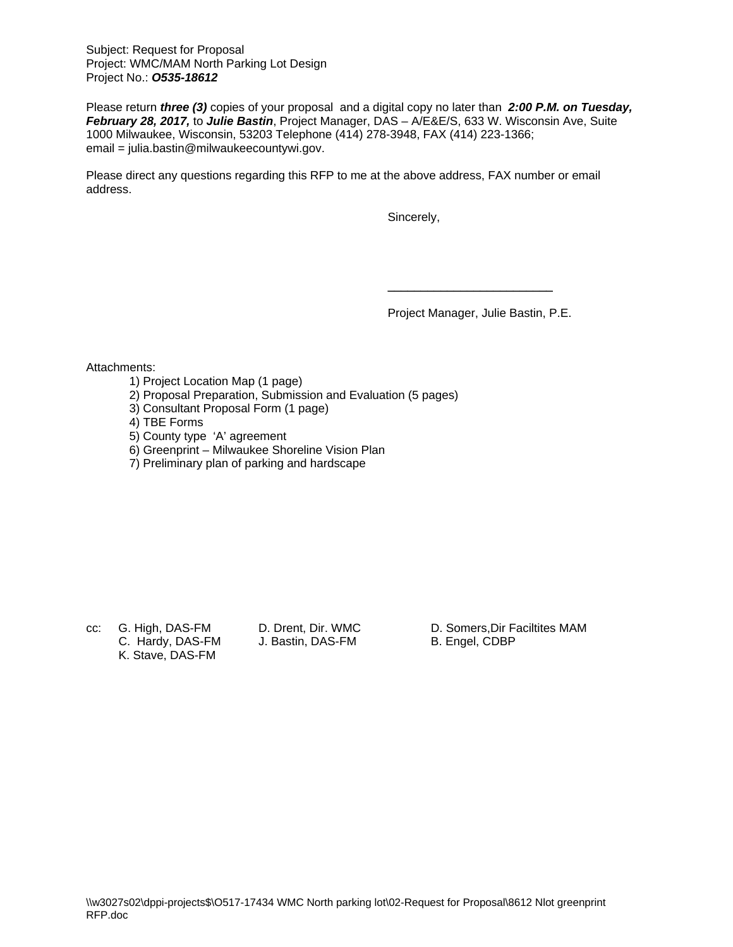Subject: Request for Proposal Project: WMC/MAM North Parking Lot Design Project No.: *O535-18612*

Please return *three (3)* copies of your proposal and a digital copy no later than *2:00 P.M. on Tuesday, February 28, 2017,* to *Julie Bastin*, Project Manager, DAS – A/E&E/S, 633 W. Wisconsin Ave, Suite 1000 Milwaukee, Wisconsin, 53203 Telephone (414) 278-3948, FAX (414) 223-1366; email = julia.bastin@milwaukeecountywi.gov.

Please direct any questions regarding this RFP to me at the above address, FAX number or email address.

Sincerely,

Project Manager, Julie Bastin, P.E.

\_\_\_\_\_\_\_\_\_\_\_\_\_\_\_\_\_\_\_\_\_\_\_\_\_

Attachments:

- 1) Project Location Map (1 page)
- 2) Proposal Preparation, Submission and Evaluation (5 pages)
- 3) Consultant Proposal Form (1 page)
- 4) TBE Forms
- 5) County type 'A' agreement
- 6) Greenprint Milwaukee Shoreline Vision Plan
- 7) Preliminary plan of parking and hardscape

C. Hardy, DAS-FM J. Bastin, DAS-FM B. Engel, CDBP K. Stave, DAS-FM

cc: G. High, DAS-FM D. Drent, Dir. WMC D. Somers, Dir Faciltites MAM<br>C. Hardy, DAS-FM J. Bastin, DAS-FM B. Engel, CDBP